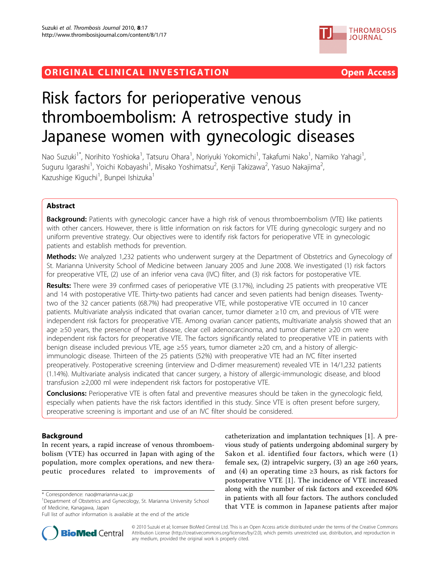## ORIGINAL CLINICAL INVESTIGATION CONTROLLER THE OPEN ACCESS





# Risk factors for perioperative venous thromboembolism: A retrospective study in Japanese women with gynecologic diseases

Nao Suzuki<sup>1\*</sup>, Norihito Yoshioka<sup>1</sup>, Tatsuru Ohara<sup>1</sup>, Noriyuki Yokomichi<sup>1</sup>, Takafumi Nako<sup>1</sup>, Namiko Yahagi<sup>1</sup> , Suguru Igarashi<sup>1</sup>, Yoichi Kobayashi<sup>1</sup>, Misako Yoshimatsu<sup>2</sup>, Kenji Takizawa<sup>2</sup>, Yasuo Nakajima<sup>2</sup> , Kazushige Kiguchi<sup>1</sup>, Bunpei Ishizuka<sup>1</sup>

## Abstract

Background: Patients with gynecologic cancer have a high risk of venous thromboembolism (VTE) like patients with other cancers. However, there is little information on risk factors for VTE during gynecologic surgery and no uniform preventive strategy. Our objectives were to identify risk factors for perioperative VTE in gynecologic patients and establish methods for prevention.

Methods: We analyzed 1,232 patients who underwent surgery at the Department of Obstetrics and Gynecology of St. Marianna University School of Medicine between January 2005 and June 2008. We investigated (1) risk factors for preoperative VTE, (2) use of an inferior vena cava (IVC) filter, and (3) risk factors for postoperative VTE.

Results: There were 39 confirmed cases of perioperative VTE (3.17%), including 25 patients with preoperative VTE and 14 with postoperative VTE. Thirty-two patients had cancer and seven patients had benign diseases. Twentytwo of the 32 cancer patients (68.7%) had preoperative VTE, while postoperative VTE occurred in 10 cancer patients. Multivariate analysis indicated that ovarian cancer, tumor diameter ≥10 cm, and previous of VTE were independent risk factors for preoperative VTE. Among ovarian cancer patients, multivariate analysis showed that an age ≥50 years, the presence of heart disease, clear cell adenocarcinoma, and tumor diameter ≥20 cm were independent risk factors for preoperative VTE. The factors significantly related to preoperative VTE in patients with benign disease included previous VTE, age ≥55 years, tumor diameter ≥20 cm, and a history of allergicimmunologic disease. Thirteen of the 25 patients (52%) with preoperative VTE had an IVC filter inserted preoperatively. Postoperative screening (interview and D-dimer measurement) revealed VTE in 14/1,232 patients (1.14%). Multivariate analysis indicated that cancer surgery, a history of allergic-immunologic disease, and blood transfusion ≥2,000 ml were independent risk factors for postoperative VTE.

**Conclusions:** Perioperative VTE is often fatal and preventive measures should be taken in the gynecologic field, especially when patients have the risk factors identified in this study. Since VTE is often present before surgery, preoperative screening is important and use of an IVC filter should be considered.

## Background

In recent years, a rapid increase of venous thromboembolism (VTE) has occurred in Japan with aging of the population, more complex operations, and new therapeutic procedures related to improvements of

Full list of author information is available at the end of the article





© 2010 Suzuki et al; licensee BioMed Central Ltd. This is an Open Access article distributed under the terms of the Creative Commons Attribution License [\(http://creativecommons.org/licenses/by/2.0](http://creativecommons.org/licenses/by/2.0)), which permits unrestricted use, distribution, and reproduction in any medium, provided the original work is properly cited.

<sup>\*</sup> Correspondence: [nao@marianna-u.ac.jp](mailto:nao@marianna-u.ac.jp)

<sup>&</sup>lt;sup>1</sup>Department of Obstetrics and Gynecology, St. Marianna University School of Medicine, Kanagawa, Japan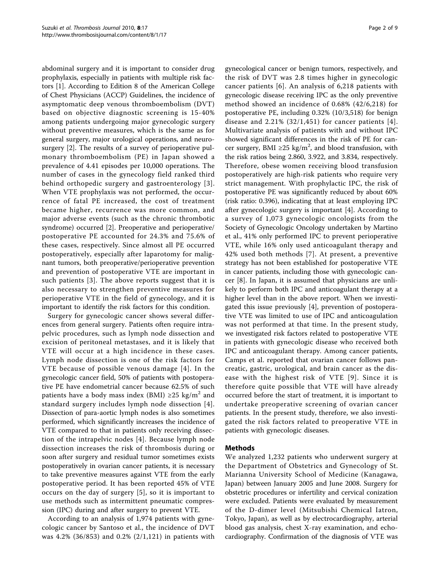abdominal surgery and it is important to consider drug prophylaxis, especially in patients with multiple risk factors [[1\]](#page-8-0). According to Edition 8 of the American College of Chest Physicians (ACCP) Guidelines, the incidence of asymptomatic deep venous thromboembolism (DVT) based on objective diagnostic screening is 15-40% among patients undergoing major gynecologic surgery without preventive measures, which is the same as for general surgery, major urological operations, and neurosurgery [\[2](#page-8-0)]. The results of a survey of perioperative pulmonary thromboembolism (PE) in Japan showed a prevalence of 4.41 episodes per 10,000 operations. The number of cases in the gynecology field ranked third behind orthopedic surgery and gastroenterology [[3\]](#page-8-0). When VTE prophylaxis was not performed, the occurrence of fatal PE increased, the cost of treatment became higher, recurrence was more common, and major adverse events (such as the chronic thrombotic syndrome) occurred [[2](#page-8-0)]. Preoperative and perioperative/ postoperative PE accounted for 24.3% and 75.6% of these cases, respectively. Since almost all PE occurred postoperatively, especially after laparotomy for malignant tumors, both preoperative/perioperative prevention and prevention of postoperative VTE are important in such patients [[3](#page-8-0)]. The above reports suggest that it is also necessary to strengthen preventive measures for perioperative VTE in the field of gynecology, and it is important to identify the risk factors for this condition.

Surgery for gynecologic cancer shows several differences from general surgery. Patients often require intrapelvic procedures, such as lymph node dissection and excision of peritoneal metastases, and it is likely that VTE will occur at a high incidence in these cases. Lymph node dissection is one of the risk factors for VTE because of possible venous damage [[4](#page-8-0)]. In the gynecologic cancer field, 50% of patients with postoperative PE have endometrial cancer because 62.5% of such patients have a body mass index (BMI)  $\geq$ 25 kg/m<sup>2</sup> and standard surgery includes lymph node dissection [[4\]](#page-8-0). Dissection of para-aortic lymph nodes is also sometimes performed, which significantly increases the incidence of VTE compared to that in patients only receiving dissection of the intrapelvic nodes [\[4](#page-8-0)]. Because lymph node dissection increases the risk of thrombosis during or soon after surgery and residual tumor sometimes exists postoperatively in ovarian cancer patients, it is necessary to take preventive measures against VTE from the early postoperative period. It has been reported 45% of VTE occurs on the day of surgery [\[5](#page-8-0)], so it is important to use methods such as intermittent pneumatic compression (IPC) during and after surgery to prevent VTE.

According to an analysis of 1,974 patients with gynecologic cancer by Santoso et al., the incidence of DVT was 4.2% (36/853) and 0.2% (2/1,121) in patients with

gynecological cancer or benign tumors, respectively, and the risk of DVT was 2.8 times higher in gynecologic cancer patients [[6](#page-8-0)]. An analysis of 6,218 patients with gynecologic disease receiving IPC as the only preventive method showed an incidence of 0.68% (42/6,218) for postoperative PE, including 0.32% (10/3,518) for benign disease and  $2.21\%$  (32/1,451) for cancer patients [[4\]](#page-8-0). Multivariate analysis of patients with and without IPC showed significant differences in the risk of PE for cancer surgery, BMI ≥25 kg/m<sup>2</sup>, and blood transfusion, with the risk ratios being 2.860, 3.922, and 3.834, respectively. Therefore, obese women receiving blood transfusion postoperatively are high-risk patients who require very strict management. With prophylactic IPC, the risk of postoperative PE was significantly reduced by about 60% (risk ratio: 0.396), indicating that at least employing IPC after gynecologic surgery is important [\[4](#page-8-0)]. According to a survey of 1,073 gynecologic oncologists from the Society of Gynecologic Oncology undertaken by Martino et al., 41% only performed IPC to prevent perioperative VTE, while 16% only used anticoagulant therapy and 42% used both methods [[7\]](#page-8-0). At present, a preventive strategy has not been established for postoperative VTE in cancer patients, including those with gynecologic cancer [[8](#page-8-0)]. In Japan, it is assumed that physicians are unlikely to perform both IPC and anticoagulant therapy at a higher level than in the above report. When we investigated this issue previously [\[4](#page-8-0)], prevention of postoperative VTE was limited to use of IPC and anticoagulation was not performed at that time. In the present study, we investigated risk factors related to postoperative VTE in patients with gynecologic disease who received both IPC and anticoagulant therapy. Among cancer patients, Camps et al. reported that ovarian cancer follows pancreatic, gastric, urological, and brain cancer as the disease with the highest risk of VTE [\[9\]](#page-8-0). Since it is therefore quite possible that VTE will have already occurred before the start of treatment, it is important to undertake preoperative screening of ovarian cancer patients. In the present study, therefore, we also investigated the risk factors related to preoperative VTE in patients with gynecologic diseases.

#### Methods

We analyzed 1,232 patients who underwent surgery at the Department of Obstetrics and Gynecology of St. Marianna University School of Medicine (Kanagawa, Japan) between January 2005 and June 2008. Surgery for obstetric procedures or infertility and cervical conization were excluded. Patients were evaluated by measurement of the D-dimer level (Mitsubishi Chemical Iatron, Tokyo, Japan), as well as by electrocardiography, arterial blood gas analysis, chest X-ray examination, and echocardiography. Confirmation of the diagnosis of VTE was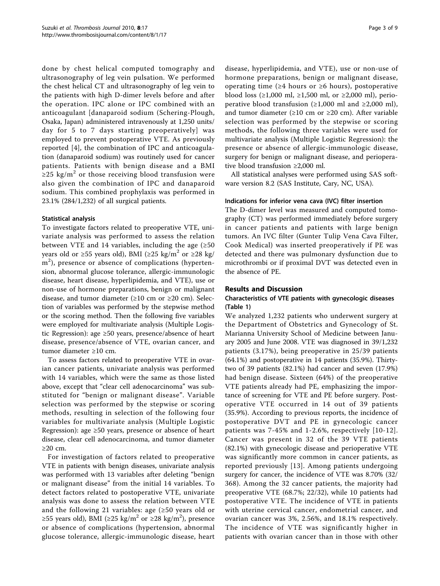done by chest helical computed tomography and ultrasonography of leg vein pulsation. We performed the chest helical CT and ultrasonography of leg vein to the patients with high D-dimer levels before and after the operation. IPC alone or IPC combined with an anticoagulant [danaparoid sodium (Schering-Plough, Osaka, Japan) administered intravenously at 1,250 units/ day for 5 to 7 days starting preoperatively] was employed to prevent postoperative VTE. As previously reported [[4\]](#page-8-0), the combination of IPC and anticoagulation (danaparoid sodium) was routinely used for cancer patients. Patients with benign disease and a BMI  $≥25$  kg/m<sup>2</sup> or those receiving blood transfusion were also given the combination of IPC and danaparoid sodium. This combined prophylaxis was performed in 23.1% (284/1,232) of all surgical patients.

#### Statistical analysis

To investigate factors related to preoperative VTE, univariate analysis was performed to assess the relation between VTE and 14 variables, including the age  $(≥50$ years old or ≥55 years old), BMI (≥25 kg/m<sup>2</sup> or ≥28 kg/ m<sup>2</sup>), presence or absence of complications (hypertension, abnormal glucose tolerance, allergic-immunologic disease, heart disease, hyperlipidemia, and VTE), use or non-use of hormone preparations, benign or malignant disease, and tumor diameter ( $\geq 10$  cm or  $\geq 20$  cm). Selection of variables was performed by the stepwise method or the scoring method. Then the following five variables were employed for multivariate analysis (Multiple Logistic Regression): age ≥50 years, presence/absence of heart disease, presence/absence of VTE, ovarian cancer, and tumor diameter ≥10 cm.

To assess factors related to preoperative VTE in ovarian cancer patients, univariate analysis was performed with 14 variables, which were the same as those listed above, except that "clear cell adenocarcinoma" was substituted for "benign or malignant disease". Variable selection was performed by the stepwise or scoring methods, resulting in selection of the following four variables for multivariate analysis (Multiple Logistic Regression): age  $\geq 50$  years, presence or absence of heart disease, clear cell adenocarcinoma, and tumor diameter ≥20 cm.

For investigation of factors related to preoperative VTE in patients with benign diseases, univariate analysis was performed with 13 variables after deleting "benign or malignant disease" from the initial 14 variables. To detect factors related to postoperative VTE, univariate analysis was done to assess the relation between VTE and the following 21 variables: age (≥50 years old or ≥55 years old), BMI (≥25 kg/m<sup>2</sup> or ≥28 kg/m<sup>2</sup>), presence or absence of complications (hypertension, abnormal glucose tolerance, allergic-immunologic disease, heart

disease, hyperlipidemia, and VTE), use or non-use of hormone preparations, benign or malignant disease, operating time (≥4 hours or ≥6 hours), postoperative blood loss ( $\geq 1,000$  ml,  $\geq 1,500$  ml, or  $\geq 2,000$  ml), perioperative blood transfusion ( $\geq 1,000$  ml and  $\geq 2,000$  ml), and tumor diameter ( $\geq 10$  cm or  $\geq 20$  cm). After variable selection was performed by the stepwise or scoring methods, the following three variables were used for multivariate analysis (Multiple Logistic Regression): the presence or absence of allergic-immunologic disease, surgery for benign or malignant disease, and perioperative blood transfusion ≥2,000 ml.

All statistical analyses were performed using SAS software version 8.2 (SAS Institute, Cary, NC, USA).

## Indications for inferior vena cava (IVC) filter insertion

The D-dimer level was measured and computed tomography (CT) was performed immediately before surgery in cancer patients and patients with large benign tumors. An IVC filter (Gunter Tulip Vena Cava Filter, Cook Medical) was inserted preoperatively if PE was detected and there was pulmonary dysfunction due to microthrombi or if proximal DVT was detected even in the absence of PE.

## Results and Discussion

## Characteristics of VTE patients with gynecologic diseases (Table [1\)](#page-3-0)

We analyzed 1,232 patients who underwent surgery at the Department of Obstetrics and Gynecology of St. Marianna University School of Medicine between January 2005 and June 2008. VTE was diagnosed in 39/1,232 patients (3.17%), being preoperative in 25/39 patients (64.1%) and postoperative in 14 patients (35.9%). Thirtytwo of 39 patients (82.1%) had cancer and seven (17.9%) had benign disease. Sixteen (64%) of the preoperative VTE patients already had PE, emphasizing the importance of screening for VTE and PE before surgery. Postoperative VTE occurred in 14 out of 39 patients (35.9%). According to previous reports, the incidence of postoperative DVT and PE in gynecologic cancer patients was 7-45% and 1-2.6%, respectively [[10-12\]](#page-8-0). Cancer was present in 32 of the 39 VTE patients (82.1%) with gynecologic disease and perioperative VTE was significantly more common in cancer patients, as reported previously [[13\]](#page-8-0). Among patients undergoing surgery for cancer, the incidence of VTE was 8.70% (32/ 368). Among the 32 cancer patients, the majority had preoperative VTE (68.7%; 22/32), while 10 patients had postoperative VTE. The incidence of VTE in patients with uterine cervical cancer, endometrial cancer, and ovarian cancer was 3%, 2.56%, and 18.1% respectively. The incidence of VTE was significantly higher in patients with ovarian cancer than in those with other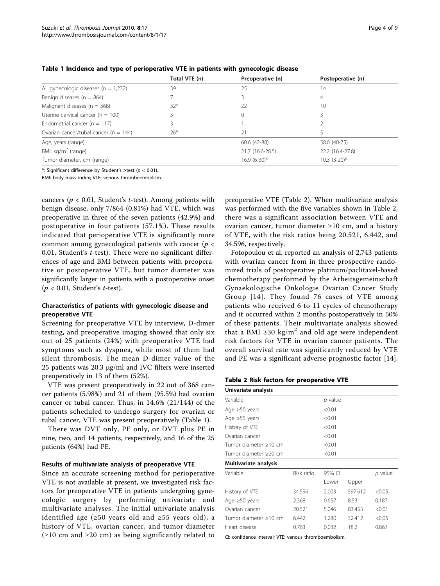|                                           | Total VTE (n) | Preoperative (n) | Postoperative (n) |
|-------------------------------------------|---------------|------------------|-------------------|
| All gynecologic diseases ( $n = 1,232$ )  | 39            | 25               | 14                |
| Benign diseases ( $n = 864$ )             |               |                  | 4                 |
| Malignant diseases ( $n = 368$ )          | $32*$         | 22               | 10                |
| Uterine cervical cancer ( $n = 100$ )     |               | 0                |                   |
| Endometrial cancer ( $n = 117$ )          |               |                  |                   |
| Ovarian cancer/tubal cancer ( $n = 144$ ) | $26*$         | 21               |                   |
| Age, years (range)                        |               | 60.6 (42-88)     | 58.0 (40-75)      |
| BMI, kg/m <sup>2</sup> (range)            |               | 21.7 (16.6-28.5) | 22.2 (16.4-27.8)  |
| Tumor diameter, cm (range)                |               | $16.9(6-30)*$    | $10.3(3-20)*$     |

<span id="page-3-0"></span>Table 1 Incidence and type of perioperative VTE in patients with gynecologic disease

\*: Significant difference by Student's t-test ( $p < 0.01$ ).

BMI: body mass index; VTE: venous thromboembolism.

cancers ( $p < 0.01$ , Student's t-test). Among patients with benign disease, only 7/864 (0.81%) had VTE, which was preoperative in three of the seven patients (42.9%) and postoperative in four patients (57.1%). These results indicated that perioperative VTE is significantly more common among gynecological patients with cancer ( $p <$ 0.01, Student's  $t$ -test). There were no significant differences of age and BMI between patients with preoperative or postoperative VTE, but tumor diameter was significantly larger in patients with a postoperative onset  $(p < 0.01$ , Student's *t*-test).

#### Characteristics of patients with gynecologic disease and preoperative VTE

Screening for preoperative VTE by interview, D-dimer testing, and preoperative imaging showed that only six out of 25 patients (24%) with preoperative VTE had symptoms such as dyspnea, while most of them had silent thrombosis. The mean D-dimer value of the 25 patients was 20.3 μg/ml and IVC filters were inserted preoperatively in 13 of them (52%).

VTE was present preoperatively in 22 out of 368 cancer patients (5.98%) and 21 of them (95.5%) had ovarian cancer or tubal cancer. Thus, in 14.6% (21/144) of the patients scheduled to undergo surgery for ovarian or tubal cancer, VTE was present preoperatively (Table 1).

There was DVT only, PE only, or DVT plus PE in nine, two, and 14 patients, respectively, and 16 of the 25 patients (64%) had PE.

#### Results of multivariate analysis of preoperative VTE

Since an accurate screening method for perioperative VTE is not available at present, we investigated risk factors for preoperative VTE in patients undergoing gynecologic surgery by performing univariate and multivariate analyses. The initial univariate analysis identified age (≥50 years old and ≥55 years old), a history of VTE, ovarian cancer, and tumor diameter  $(\geq 10 \text{ cm and } \geq 20 \text{ cm})$  as being significantly related to preoperative VTE (Table 2). When multivariate analysis was performed with the five variables shown in Table 2, there was a significant association between VTE and ovarian cancer, tumor diameter ≥10 cm, and a history of VTE, with the risk ratios being 20.521, 6.442, and 34.596, respectively.

Fotopoulou et al. reported an analysis of 2,743 patients with ovarian cancer from in three prospective randomized trials of postoperative platinum/paclitaxel-based chemotherapy performed by the Arbeitsgemeinschaft Gynaekologische Onkologie Ovarian Cancer Study Group [[14](#page-8-0)]. They found 76 cases of VTE among patients who received 6 to 11 cycles of chemotherapy and it occurred within 2 months postoperatively in 50% of these patients. Their multivariate analysis showed that a BMI ≥30 kg/m<sup>2</sup> and old age were independent risk factors for VTE in ovarian cancer patients. The overall survival rate was significantly reduced by VTE and PE was a significant adverse prognostic factor [\[14](#page-8-0)].

Table 2 Risk factors for preoperative VTE

| Univariate analysis   |            |         |         |           |
|-----------------------|------------|---------|---------|-----------|
| Variable              |            | p value |         |           |
| Age $\geq 50$ years   |            | < 0.01  |         |           |
| Age $\geq 55$ years   |            | < 0.01  |         |           |
| History of VTE        |            | < 0.01  |         |           |
| Ovarian cancer        |            | < 0.01  |         |           |
| Tumor diameter ≥10 cm |            | < 0.01  |         |           |
| Tumor diameter >20 cm |            | < 0.01  |         |           |
| Multivariate analysis |            |         |         |           |
| Variable              | Risk ratio | 95% CI  |         | $p$ value |
|                       |            | Lower   | Upper   |           |
| History of VTE        | 34.596     | 2.003   | 597.612 | < 0.05    |
| Age $\geq 50$ years   | 2.368      | 0.657   | 8.531   | 0.187     |
| Ovarian cancer        | 20.521     | 5.046   | 83.455  | < 0.01    |
| Tumor diameter >10 cm | 6.442      | 1.280   | 32.412  | < 0.05    |
| Heart disease         | 0.763      | 0.032   | 18.2    | 0.867     |
|                       |            |         |         |           |

CI: confidence interval; VTE: venous thromboembolism.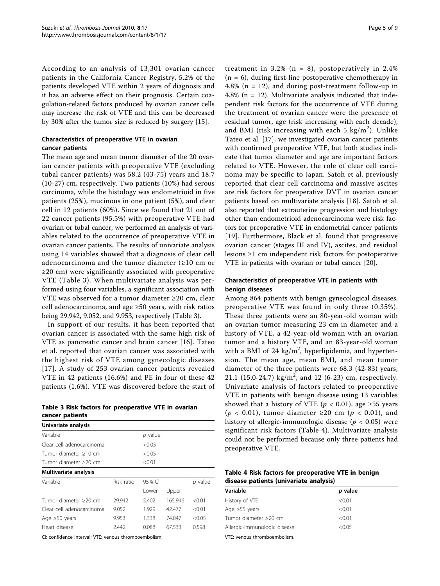According to an analysis of 13,301 ovarian cancer patients in the California Cancer Registry, 5.2% of the patients developed VTE within 2 years of diagnosis and it has an adverse effect on their prognosis. Certain coagulation-related factors produced by ovarian cancer cells may increase the risk of VTE and this can be decreased by 30% after the tumor size is reduced by surgery [[15\]](#page-8-0).

## Characteristics of preoperative VTE in ovarian cancer patients

The mean age and mean tumor diameter of the 20 ovarian cancer patients with preoperative VTE (excluding tubal cancer patients) was 58.2 (43-75) years and 18.7 (10-27) cm, respectively. Two patients (10%) had serous carcinoma, while the histology was endometrioid in five patients (25%), mucinous in one patient (5%), and clear cell in 12 patients (60%). Since we found that 21 out of 22 cancer patients (95.5%) with preoperative VTE had ovarian or tubal cancer, we performed an analysis of variables related to the occurrence of preoperative VTE in ovarian cancer patients. The results of univariate analysis using 14 variables showed that a diagnosis of clear cell adenocarcinoma and the tumor diameter (≥10 cm or ≥20 cm) were significantly associated with preoperative VTE (Table 3). When multivariate analysis was performed using four variables, a significant association with VTE was observed for a tumor diameter ≥20 cm, clear cell adenocarcinoma, and age ≥50 years, with risk ratios being 29.942, 9.052, and 9.953, respectively (Table 3).

In support of our results, it has been reported that ovarian cancer is associated with the same high risk of VTE as pancreatic cancer and brain cancer [\[16](#page-8-0)]. Tateo et al. reported that ovarian cancer was associated with the highest risk of VTE among gynecologic diseases [[17\]](#page-8-0). A study of 253 ovarian cancer patients revealed VTE in 42 patients (16.6%) and PE in four of these 42 patients (1.6%). VTE was discovered before the start of

|                 |  | Table 3 Risk factors for preoperative VTE in ovarian |  |
|-----------------|--|------------------------------------------------------|--|
| cancer patients |  |                                                      |  |

| Univariate analysis       |            |         |         |           |
|---------------------------|------------|---------|---------|-----------|
| Variable                  |            | p value |         |           |
| Clear cell adenocarcinoma |            | < 0.05  |         |           |
| Tumor diameter >10 cm     |            | < 0.05  |         |           |
| Tumor diameter >20 cm     |            | < 0.01  |         |           |
| Multivariate analysis     |            |         |         |           |
| Variable                  | Risk ratio | 95% CI  |         | $p$ value |
|                           |            | Lower   | Upper   |           |
| Tumor diameter >20 cm     | 29.942     | 5.402   | 165.946 | < 0.01    |
| Clear cell adenocarcinoma | 9.052      | 1.929   | 42.477  | < 0.01    |
| Age $\geq 50$ years       | 9.953      | 1.338   | 74.047  | < 0.05    |
| Heart disease             | 2.442      | 0.088   | 67.533  | 0.598     |
|                           |            |         |         |           |

CI: confidence interval; VTE: venous thromboembolism.

treatment in 3.2% ( $n = 8$ ), postoperatively in 2.4%  $(n = 6)$ , during first-line postoperative chemotherapy in 4.8% (n = 12), and during post-treatment follow-up in 4.8% (n = 12). Multivariate analysis indicated that independent risk factors for the occurrence of VTE during the treatment of ovarian cancer were the presence of residual tumor, age (risk increasing with each decade), and BMI (risk increasing with each 5 kg/m<sup>2</sup>). Unlike Tateo et al. [\[17\]](#page-8-0), we investigated ovarian cancer patients with confirmed preoperative VTE, but both studies indicate that tumor diameter and age are important factors related to VTE. However, the role of clear cell carcinoma may be specific to Japan. Satoh et al. previously reported that clear cell carcinoma and massive ascites are risk factors for preoperative DVT in ovarian cancer patients based on multivariate analysis [[18\]](#page-8-0). Satoh et al. also reported that extrauterine progression and histology other than endometrioid adenocarcinoma were risk factors for preoperative VTE in endometrial cancer patients [[19\]](#page-8-0). Furthermore, Black et al. found that progressive ovarian cancer (stages III and IV), ascites, and residual lesions ≥1 cm independent risk factors for postoperative VTE in patients with ovarian or tubal cancer [[20\]](#page-8-0).

#### Characteristics of preoperative VTE in patients with benign diseases

Among 864 patients with benign gynecological diseases, preoperative VTE was found in only three (0.35%). These three patients were an 80-year-old woman with an ovarian tumor measuring 23 cm in diameter and a history of VTE, a 42-year-old woman with an ovarian tumor and a history VTE, and an 83-year-old woman with a BMI of 24  $\text{kg/m}^2$ , hyperlipidemia, and hypertension. The mean age, mean BMI, and mean tumor diameter of the three patients were 68.3 (42-83) years, 21.1 (15.0-24.7) kg/m<sup>2</sup>, and 12 (6-23) cm, respectively. Univariate analysis of factors related to preoperative VTE in patients with benign disease using 13 variables showed that a history of VTE ( $p < 0.01$ ), age ≥55 years  $(p < 0.01)$ , tumor diameter ≥20 cm  $(p < 0.01)$ , and history of allergic-immunologic disease ( $p < 0.05$ ) were significant risk factors (Table 4). Multivariate analysis could not be performed because only three patients had preoperative VTE.

Table 4 Risk factors for preoperative VTE in benign disease patients (univariate analysis)

| p value |
|---------|
| < 0.01  |
| < 0.01  |
| < 0.01  |
| < 0.05  |
|         |

VTE: venous thromboembolism.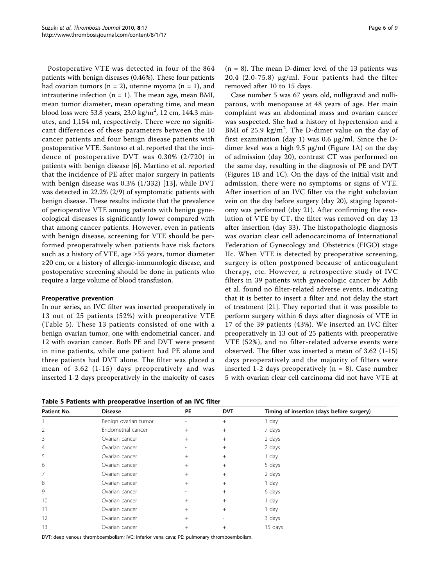Postoperative VTE was detected in four of the 864 patients with benign diseases (0.46%). These four patients had ovarian tumors ( $n = 2$ ), uterine myoma ( $n = 1$ ), and intrauterine infection  $(n = 1)$ . The mean age, mean BMI, mean tumor diameter, mean operating time, and mean blood loss were 53.8 years, 23.0 kg/m<sup>2</sup>, 12 cm, 144.3 minutes, and 1,154 ml, respectively. There were no significant differences of these parameters between the 10 cancer patients and four benign disease patients with postoperative VTE. Santoso et al. reported that the incidence of postoperative DVT was 0.30% (2/720) in patients with benign disease [[6\]](#page-8-0). Martino et al. reported that the incidence of PE after major surgery in patients with benign disease was 0.3% (1/332) [[13\]](#page-8-0), while DVT was detected in 22.2% (2/9) of symptomatic patients with benign disease. These results indicate that the prevalence of perioperative VTE among patients with benign gynecological diseases is significantly lower compared with that among cancer patients. However, even in patients with benign disease, screening for VTE should be performed preoperatively when patients have risk factors such as a history of VTE, age  $\geq$ 55 years, tumor diameter ≥20 cm, or a history of allergic-immunologic disease, and postoperative screening should be done in patients who require a large volume of blood transfusion.

#### Preoperative prevention

In our series, an IVC filter was inserted preoperatively in 13 out of 25 patients (52%) with preoperative VTE (Table 5). These 13 patients consisted of one with a benign ovarian tumor, one with endometrial cancer, and 12 with ovarian cancer. Both PE and DVT were present in nine patients, while one patient had PE alone and three patients had DVT alone. The filter was placed a mean of 3.62 (1-15) days preoperatively and was inserted 1-2 days preoperatively in the majority of cases

Table 5 Patients with preoperative insertion of an IVC filter

 $(n = 8)$ . The mean D-dimer level of the 13 patients was 20.4 (2.0-75.8) μg/ml. Four patients had the filter removed after 10 to 15 days.

Case number 5 was 67 years old, nulligravid and nulliparous, with menopause at 48 years of age. Her main complaint was an abdominal mass and ovarian cancer was suspected. She had a history of hypertension and a BMI of 25.9  $\text{kg/m}^2$ . The D-dimer value on the day of first examination (day 1) was 0.6 μg/ml. Since the Ddimer level was a high 9.5 μg/ml (Figure [1A](#page-6-0)) on the day of admission (day 20), contrast CT was performed on the same day, resulting in the diagnosis of PE and DVT (Figures [1B](#page-6-0) and [1C\)](#page-6-0). On the days of the initial visit and admission, there were no symptoms or signs of VTE. After insertion of an IVC filter via the right subclavian vein on the day before surgery (day 20), staging laparotomy was performed (day 21). After confirming the resolution of VTE by CT, the filter was removed on day 13 after insertion (day 33). The histopathologic diagnosis was ovarian clear cell adenocarcinoma of International Federation of Gynecology and Obstetrics (FIGO) stage IIc. When VTE is detected by preoperative screening, surgery is often postponed because of anticoagulant therapy, etc. However, a retrospective study of IVC filters in 39 patients with gynecologic cancer by Adib et al. found no filter-related adverse events, indicating that it is better to insert a filter and not delay the start of treatment [[21\]](#page-8-0). They reported that it was possible to perform surgery within 6 days after diagnosis of VTE in 17 of the 39 patients (43%). We inserted an IVC filter preoperatively in 13 out of 25 patients with preoperative VTE (52%), and no filter-related adverse events were observed. The filter was inserted a mean of 3.62 (1-15) days preoperatively and the majority of filters were inserted 1-2 days preoperatively  $(n = 8)$ . Case number 5 with ovarian clear cell carcinoma did not have VTE at

| Patient No. | <b>Disease</b>       | PE                       | <b>DVT</b> | Timing of insertion (days before surgery) |
|-------------|----------------------|--------------------------|------------|-------------------------------------------|
|             | Benign ovarian tumor | $\overline{a}$           | $^{+}$     | 1 day                                     |
| 2           | Endometrial cancer   | $^{+}$                   | $^{+}$     | 7 days                                    |
| 3           | Ovarian cancer       | $+$                      | $^{+}$     | 2 days                                    |
| 4           | Ovarian cancer       | $\overline{\phantom{m}}$ | $^{+}$     | 2 days                                    |
| 5           | Ovarian cancer       | $^{+}$                   | $+$        | 1 day                                     |
| 6           | Ovarian cancer       | $+$                      | $+$        | 5 days                                    |
| 7           | Ovarian cancer       | $^{+}$                   | $^{+}$     | 2 days                                    |
| 8           | Ovarian cancer       | $^{+}$                   | $^{+}$     | 1 day                                     |
| 9           | Ovarian cancer       | $\overline{\phantom{m}}$ | $+$        | 6 days                                    |
| 10          | Ovarian cancer       | $^{+}$                   | $+$        | 1 day                                     |
| 11          | Ovarian cancer       | $^{+}$                   | $^{+}$     | 1 day                                     |
| 12          | Ovarian cancer       | $^{+}$                   |            | 3 days                                    |
| 13          | Ovarian cancer       | $^{+}$                   | $^{+}$     | 15 days                                   |

DVT: deep venous thromboembolism; IVC: inferior vena cava; PE: pulmonary thromboembolism.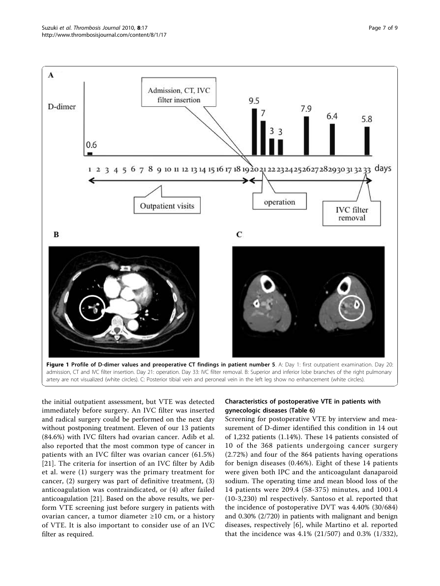<span id="page-6-0"></span>

admission, CT and IVC filter insertion. Day 21: operation. Day 33: IVC filter removal. B: Superior and inferior lobe branches of the right pulmonary artery are not visualized (white circles). C: Posterior tibial vein and peroneal vein in the left leg show no enhancement (white circles).

the initial outpatient assessment, but VTE was detected immediately before surgery. An IVC filter was inserted and radical surgery could be performed on the next day without postponing treatment. Eleven of our 13 patients (84.6%) with IVC filters had ovarian cancer. Adib et al. also reported that the most common type of cancer in patients with an IVC filter was ovarian cancer (61.5%) [[21](#page-8-0)]. The criteria for insertion of an IVC filter by Adib et al. were (1) surgery was the primary treatment for cancer, (2) surgery was part of definitive treatment, (3) anticoagulation was contraindicated, or (4) after failed anticoagulation [[21](#page-8-0)]. Based on the above results, we perform VTE screening just before surgery in patients with ovarian cancer, a tumor diameter ≥10 cm, or a history of VTE. It is also important to consider use of an IVC filter as required.

## Characteristics of postoperative VTE in patients with gynecologic diseases (Table [6\)](#page-7-0)

Screening for postoperative VTE by interview and measurement of D-dimer identified this condition in 14 out of 1,232 patients (1.14%). These 14 patients consisted of 10 of the 368 patients undergoing cancer surgery (2.72%) and four of the 864 patients having operations for benign diseases (0.46%). Eight of these 14 patients were given both IPC and the anticoagulant danaparoid sodium. The operating time and mean blood loss of the 14 patients were 209.4 (58-375) minutes, and 1001.4 (10-3,230) ml respectively. Santoso et al. reported that the incidence of postoperative DVT was 4.40% (30/684) and 0.30% (2/720) in patients with malignant and benign diseases, respectively [\[6](#page-8-0)], while Martino et al. reported that the incidence was 4.1% (21/507) and 0.3% (1/332),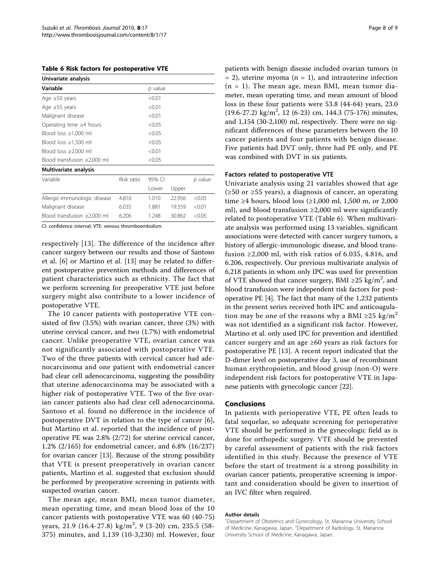<span id="page-7-0"></span>Table 6 Risk factors for postoperative VTE

| Univariate analysis               |            |         |        |         |  |  |
|-----------------------------------|------------|---------|--------|---------|--|--|
| Variable                          |            | p value |        |         |  |  |
| Age $\geq 50$ years               |            | < 0.01  |        |         |  |  |
| Age $\geq 55$ years               |            | < 0.01  |        |         |  |  |
| Malignant disease                 |            | < 0.01  |        |         |  |  |
| Operating time $\geq 4$ hours     |            | < 0.05  |        |         |  |  |
| Blood loss $\geq 1,000$ ml        | < 0.05     |         |        |         |  |  |
| Blood loss $\geq 1,500$ ml        | < 0.05     |         |        |         |  |  |
| Blood loss $\geq 2,000$ ml        |            | < 0.01  |        |         |  |  |
| Blood transfusion $\geq$ 2,000 ml | < 0.05     |         |        |         |  |  |
| Multivariate analysis             |            |         |        |         |  |  |
| Variable                          | Risk ratio | 95% CI  |        | p value |  |  |
|                                   |            | Lower   | Upper  |         |  |  |
| Allergic-immunologic disease      | 4.816      | 1.010   | 22.956 | < 0.05  |  |  |
| Malignant disease                 | 6.035      | 1.881   | 19.359 | < 0.01  |  |  |
| Blood transfusion $\geq$ 2,000 ml | 6.206      | 1.248   | 30.862 | < 0.05  |  |  |

CI: confidence interval; VTE: venous thromboembolism.

respectively [\[13](#page-8-0)]. The difference of the incidence after cancer surgery between our results and those of Santoso et al. [[6\]](#page-8-0) or Martino et al. [[13\]](#page-8-0) may be related to different postoperative prevention methods and differences of patient characteristics such as ethnicity. The fact that we perform screening for preoperative VTE just before surgery might also contribute to a lower incidence of postoperative VTE.

The 10 cancer patients with postoperative VTE consisted of five (3.5%) with ovarian cancer, three (3%) with uterine cervical cancer, and two (1.7%) with endometrial cancer. Unlike preoperative VTE, ovarian cancer was not significantly associated with postoperative VTE. Two of the three patients with cervical cancer had adenocarcinoma and one patient with endometrial cancer had clear cell adenocarcinoma, suggesting the possibility that uterine adenocarcinoma may be associated with a higher risk of postoperative VTE. Two of the five ovarian cancer patients also had clear cell adenocarcinoma. Santoso et al. found no difference in the incidence of postoperative DVT in relation to the type of cancer [\[6](#page-8-0)], but Martino et al. reported that the incidence of postoperative PE was 2.8% (2/72) for uterine cervical cancer, 1.2% (2/165) for endometrial cancer, and 6.8% (16/237) for ovarian cancer [\[13](#page-8-0)]. Because of the strong possibility that VTE is present preoperatively in ovarian cancer patients, Martino et al. suggested that exclusion should be performed by preoperative screening in patients with suspected ovarian cancer.

The mean age, mean BMI, mean tumor diameter, mean operating time, and mean blood loss of the 10 cancer patients with postoperative VTE was 60 (40-75) years, 21.9 (16.4-27.8) kg/m<sup>2</sup>, 9 (3-20) cm, 235.5 (58-375) minutes, and 1,139 (10-3,230) ml. However, four patients with benign disease included ovarian tumors (n  $= 2$ ), uterine myoma (n  $= 1$ ), and intrauterine infection  $(n = 1)$ . The mean age, mean BMI, mean tumor diameter, mean operating time, and mean amount of blood loss in these four patients were 53.8 (44-64) years, 23.0  $(19.6-27.2)$  kg/m<sup>2</sup>, 12 (6-23) cm, 144.3 (75-176) minutes, and 1,154 (30-2,100) ml, respectively. There were no significant differences of these parameters between the 10 cancer patients and four patients with benign disease. Five patients had DVT only, three had PE only, and PE was combined with DVT in six patients.

#### Factors related to postoperative VTE

Univariate analysis using 21 variables showed that age ( $≥50$  or  $≥55$  years), a diagnosis of cancer, an operating time ≥4 hours, blood loss (≥1,000 ml, 1,500 m, or 2,000 ml), and blood transfusion  $\geq 2,000$  ml were significantly related to postoperative VTE (Table 6). When multivariate analysis was performed using 13 variables, significant associations were detected with cancer surgery tumors, a history of allergic-immunologic disease, and blood transfusion  $\geq 2,000$  ml, with risk ratios of 6.035, 4.816, and 6.206, respectively. Our previous multivariate analysis of 6,218 patients in whom only IPC was used for prevention of VTE showed that cancer surgery, BMI ≥25 kg/m<sup>2</sup>, and blood transfusion were independent risk factors for postoperative PE [[4\]](#page-8-0). The fact that many of the 1,232 patients in the present series received both IPC and anticoagulation may be one of the reasons why a BMI  $\geq 25$  kg/m<sup>2</sup> was not identified as a significant risk factor. However, Martino et al. only used IPC for prevention and identified cancer surgery and an age ≥60 years as risk factors for postoperative PE [\[13](#page-8-0)]. A recent report indicated that the D-dimer level on postoperative day 3, use of recombinant human erythropoietin, and blood group (non-O) were independent risk factors for postoperative VTE in Japanese patients with gynecologic cancer [\[22\]](#page-8-0).

#### Conclusions

In patients with perioperative VTE, PE often leads to fatal sequelae, so adequate screening for perioperative VTE should be performed in the gynecologic field as is done for orthopedic surgery. VTE should be prevented by careful assessment of patients with the risk factors identified in this study. Because the presence of VTE before the start of treatment is a strong possibility in ovarian cancer patients, preoperative screening is important and consideration should be given to insertion of an IVC filter when required.

#### Author details

<sup>1</sup>Department of Obstetrics and Gynecology, St. Marianna University School of Medicine, Kanagawa, Japan. <sup>2</sup>Department of Radiology, St. Marianna University School of Medicine, Kanagawa, Japan.